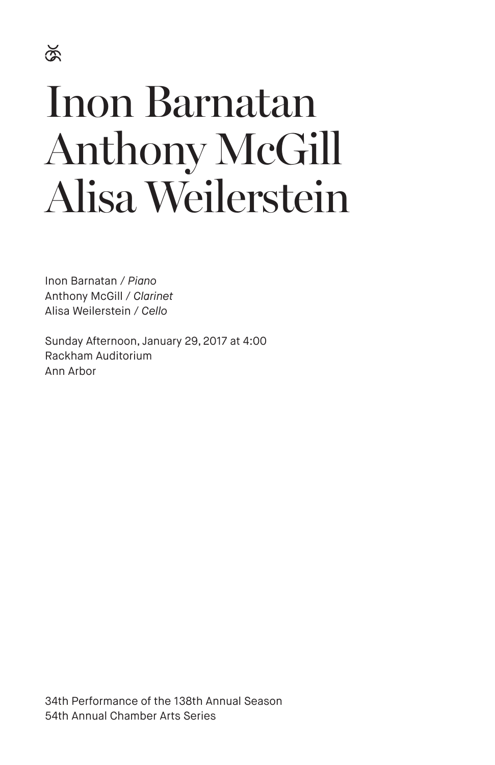# Inon Barnatan Anthony McGill Alisa Weilerstein

Inon Barnatan / *Piano* Anthony McGill / *Clarinet* Alisa Weilerstein / *Cello*

Sunday Afternoon, January 29, 2017 at 4:00 Rackham Auditorium Ann Arbor

34th Performance of the 138th Annual Season 54th Annual Chamber Arts Series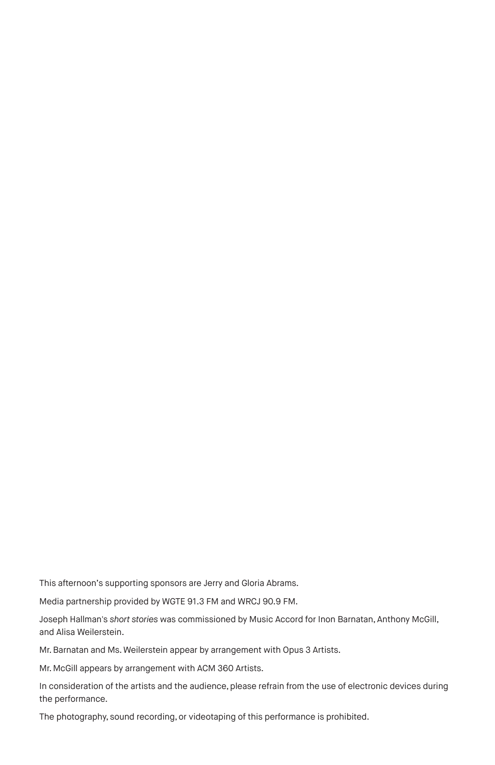This afternoon's supporting sponsors are Jerry and Gloria Abrams.

Media partnership provided by WGTE 91.3 FM and WRCJ 90.9 FM.

Joseph Hallman's *short stories* was commissioned by Music Accord for Inon Barnatan, Anthony McGill, and Alisa Weilerstein.

Mr. Barnatan and Ms. Weilerstein appear by arrangement with Opus 3 Artists.

Mr. McGill appears by arrangement with ACM 360 Artists.

In consideration of the artists and the audience, please refrain from the use of electronic devices during the performance.

The photography, sound recording, or videotaping of this performance is prohibited.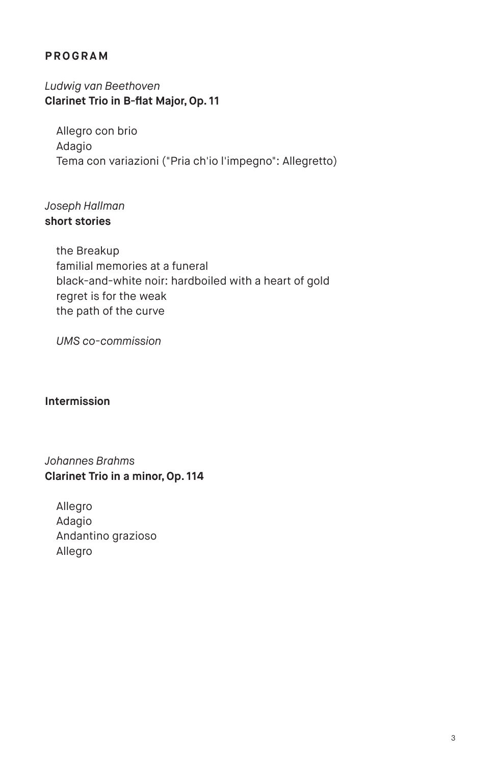# **PROGRAM**

*Ludwig van Beethoven* **Clarinet Trio in B-flat Major, Op. 11**

Allegro con brio Adagio Tema con variazioni ("Pria ch'io l'impegno": Allegretto)

# *Joseph Hallman* **short stories**

the Breakup familial memories at a funeral black-and-white noir: hardboiled with a heart of gold regret is for the weak the path of the curve

*UMS co-commission*

## **Intermission**

*Johannes Brahms* **Clarinet Trio in a minor, Op. 114**

Allegro Adagio Andantino grazioso Allegro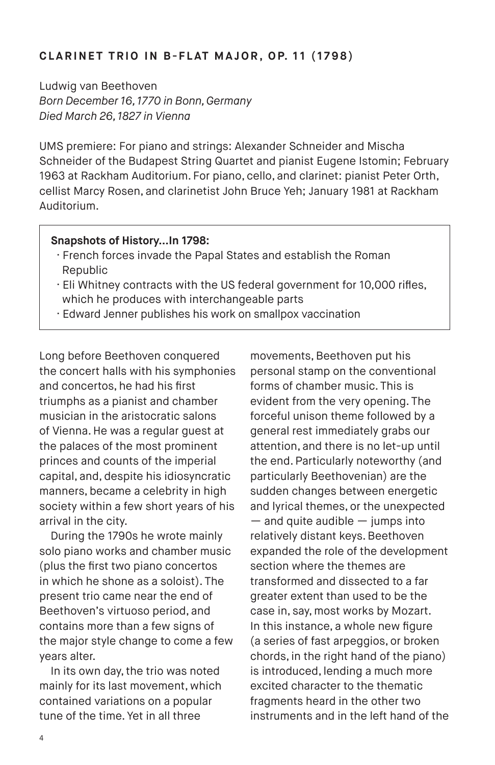## **CLARINET TRIO IN B-FLAT MAJOR, OP. 11 (1798)**

Ludwig van Beethoven *Born December 16, 1770 in Bonn, Germany Died March 26, 1827 in Vienna*

UMS premiere: For piano and strings: Alexander Schneider and Mischa Schneider of the Budapest String Quartet and pianist Eugene Istomin; February 1963 at Rackham Auditorium. For piano, cello, and clarinet: pianist Peter Orth, cellist Marcy Rosen, and clarinetist John Bruce Yeh; January 1981 at Rackham Auditorium.

#### **Snapshots of History…In 1798:**

- · French forces invade the Papal States and establish the Roman Republic
- · Eli Whitney contracts with the US federal government for 10,000 rifles, which he produces with interchangeable parts
- · Edward Jenner publishes his work on smallpox vaccination

Long before Beethoven conquered the concert halls with his symphonies and concertos, he had his first triumphs as a pianist and chamber musician in the aristocratic salons of Vienna. He was a regular guest at the palaces of the most prominent princes and counts of the imperial capital, and, despite his idiosyncratic manners, became a celebrity in high society within a few short years of his arrival in the city.

During the 1790s he wrote mainly solo piano works and chamber music (plus the first two piano concertos in which he shone as a soloist). The present trio came near the end of Beethoven's virtuoso period, and contains more than a few signs of the major style change to come a few years alter.

In its own day, the trio was noted mainly for its last movement, which contained variations on a popular tune of the time. Yet in all three

movements, Beethoven put his personal stamp on the conventional forms of chamber music. This is evident from the very opening. The forceful unison theme followed by a general rest immediately grabs our attention, and there is no let-up until the end. Particularly noteworthy (and particularly Beethovenian) are the sudden changes between energetic and lyrical themes, or the unexpected  $-$  and quite audible  $-$  jumps into relatively distant keys. Beethoven expanded the role of the development section where the themes are transformed and dissected to a far greater extent than used to be the case in, say, most works by Mozart. In this instance, a whole new figure (a series of fast arpeggios, or broken chords, in the right hand of the piano) is introduced, lending a much more excited character to the thematic fragments heard in the other two instruments and in the left hand of the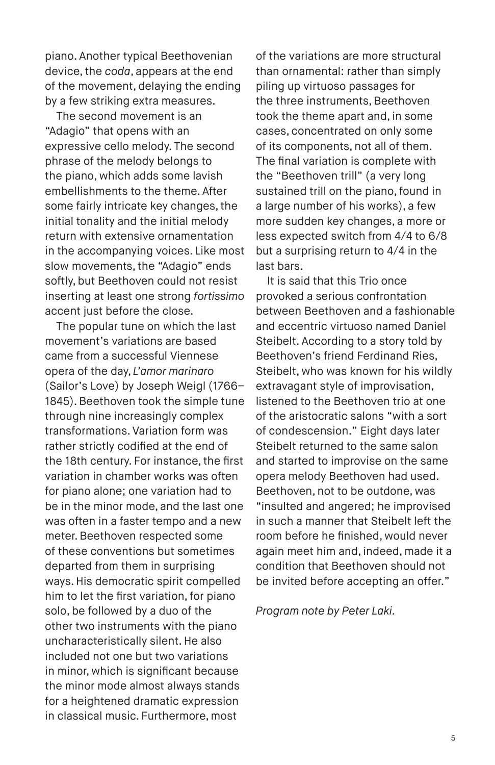piano. Another typical Beethovenian device, the *coda*, appears at the end of the movement, delaying the ending by a few striking extra measures.

The second movement is an "Adagio" that opens with an expressive cello melody. The second phrase of the melody belongs to the piano, which adds some lavish embellishments to the theme. After some fairly intricate key changes, the initial tonality and the initial melody return with extensive ornamentation in the accompanying voices. Like most slow movements, the "Adagio" ends softly, but Beethoven could not resist inserting at least one strong *fortissimo*  accent just before the close.

The popular tune on which the last movement's variations are based came from a successful Viennese opera of the day, *L'amor marinaro* (Sailor's Love) by Joseph Weigl (1766– 1845). Beethoven took the simple tune through nine increasingly complex transformations. Variation form was rather strictly codified at the end of the 18th century. For instance, the first variation in chamber works was often for piano alone; one variation had to be in the minor mode, and the last one was often in a faster tempo and a new meter. Beethoven respected some of these conventions but sometimes departed from them in surprising ways. His democratic spirit compelled him to let the first variation, for piano solo, be followed by a duo of the other two instruments with the piano uncharacteristically silent. He also included not one but two variations in minor, which is significant because the minor mode almost always stands for a heightened dramatic expression in classical music. Furthermore, most

of the variations are more structural than ornamental: rather than simply piling up virtuoso passages for the three instruments, Beethoven took the theme apart and, in some cases, concentrated on only some of its components, not all of them. The final variation is complete with the "Beethoven trill" (a very long sustained trill on the piano, found in a large number of his works), a few more sudden key changes, a more or less expected switch from 4/4 to 6/8 but a surprising return to 4/4 in the last bars.

It is said that this Trio once provoked a serious confrontation between Beethoven and a fashionable and eccentric virtuoso named Daniel Steibelt. According to a story told by Beethoven's friend Ferdinand Ries, Steibelt, who was known for his wildly extravagant style of improvisation, listened to the Beethoven trio at one of the aristocratic salons "with a sort of condescension." Eight days later Steibelt returned to the same salon and started to improvise on the same opera melody Beethoven had used. Beethoven, not to be outdone, was "insulted and angered; he improvised in such a manner that Steibelt left the room before he finished, would never again meet him and, indeed, made it a condition that Beethoven should not be invited before accepting an offer."

*Program note by Peter Laki.*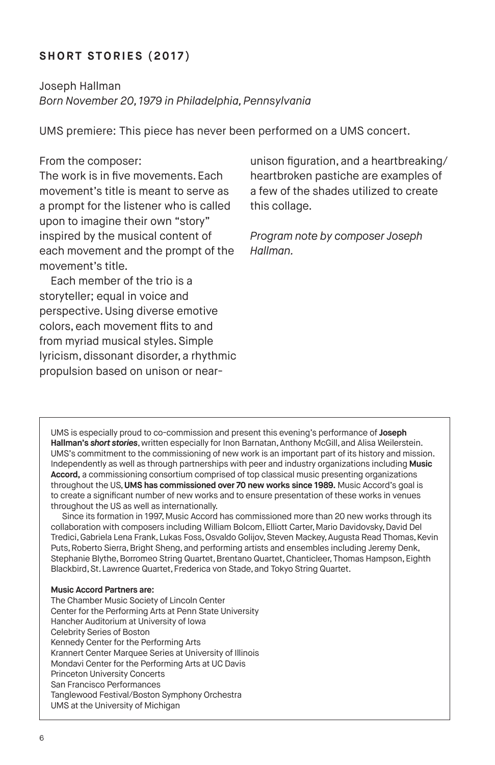# **SHORT STORIES (2017)**

Joseph Hallman *Born November 20, 1979 in Philadelphia, Pennsylvania*

UMS premiere: This piece has never been performed on a UMS concert.

#### From the composer:

The work is in five movements. Each movement's title is meant to serve as a prompt for the listener who is called upon to imagine their own "story" inspired by the musical content of each movement and the prompt of the movement's title.

Each member of the trio is a storyteller; equal in voice and perspective. Using diverse emotive colors, each movement flits to and from myriad musical styles. Simple lyricism, dissonant disorder, a rhythmic propulsion based on unison or nearunison figuration, and a heartbreaking/ heartbroken pastiche are examples of a few of the shades utilized to create this collage.

*Program note by composer Joseph Hallman.*

UMS is especially proud to co-commission and present this evening's performance of **Joseph Hallman's** *short stories*, written especially for Inon Barnatan, Anthony McGill, and Alisa Weilerstein. UMS's commitment to the commissioning of new work is an important part of its history and mission. Independently as well as through partnerships with peer and industry organizations including **Music Accord,** a commissioning consortium comprised of top classical music presenting organizations throughout the US, **UMS has commissioned over 70 new works since 1989.** Music Accord's goal is to create a significant number of new works and to ensure presentation of these works in venues throughout the US as well as internationally.

Since its formation in 1997, Music Accord has commissioned more than 20 new works through its collaboration with composers including William Bolcom, Elliott Carter, Mario Davidovsky, David Del Tredici, Gabriela Lena Frank, Lukas Foss, Osvaldo Golijov, Steven Mackey, Augusta Read Thomas, Kevin Puts, Roberto Sierra, Bright Sheng, and performing artists and ensembles including Jeremy Denk, Stephanie Blythe, Borromeo String Quartet, Brentano Quartet, Chanticleer, Thomas Hampson, Eighth Blackbird, St. Lawrence Quartet, Frederica von Stade, and Tokyo String Quartet.

#### **Music Accord Partners are:**

The Chamber Music Society of Lincoln Center Center for the Performing Arts at Penn State University Hancher Auditorium at University of Iowa Celebrity Series of Boston Kennedy Center for the Performing Arts Krannert Center Marquee Series at University of Illinois Mondavi Center for the Performing Arts at UC Davis Princeton University Concerts San Francisco Performances Tanglewood Festival/Boston Symphony Orchestra UMS at the University of Michigan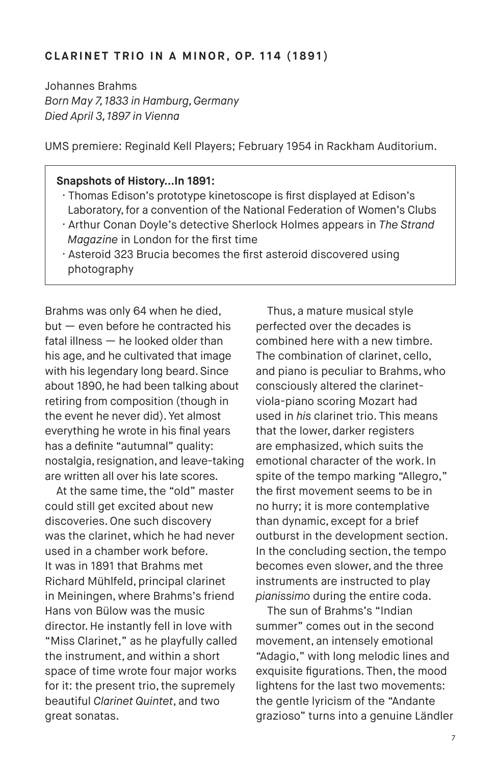#### **CLARINET TRIO IN A MINOR, OP. 114 (1891)**

Johannes Brahms *Born May 7, 1833 in Hamburg, Germany Died April 3, 1897 in Vienna*

UMS premiere: Reginald Kell Players; February 1954 in Rackham Auditorium.

#### **Snapshots of History…In 1891:**

- · Thomas Edison's prototype kinetoscope is first displayed at Edison's Laboratory, for a convention of the National Federation of Women's Clubs
- · Arthur Conan Doyle's detective Sherlock Holmes appears in *The Strand Magazine* in London for the first time
- · Asteroid 323 Brucia becomes the first asteroid discovered using photography

Brahms was only 64 when he died, but — even before he contracted his fatal illness — he looked older than his age, and he cultivated that image with his legendary long beard. Since about 1890, he had been talking about retiring from composition (though in the event he never did). Yet almost everything he wrote in his final years has a definite "autumnal" quality: nostalgia, resignation, and leave-taking are written all over his late scores.

At the same time, the "old" master could still get excited about new discoveries. One such discovery was the clarinet, which he had never used in a chamber work before. It was in 1891 that Brahms met Richard Mühlfeld, principal clarinet in Meiningen, where Brahms's friend Hans von Bülow was the music director. He instantly fell in love with "Miss Clarinet," as he playfully called the instrument, and within a short space of time wrote four major works for it: the present trio, the supremely beautiful *Clarinet Quintet*, and two great sonatas.

Thus, a mature musical style perfected over the decades is combined here with a new timbre. The combination of clarinet, cello, and piano is peculiar to Brahms, who consciously altered the clarinetviola-piano scoring Mozart had used in *his* clarinet trio. This means that the lower, darker registers are emphasized, which suits the emotional character of the work. In spite of the tempo marking "Allegro," the first movement seems to be in no hurry; it is more contemplative than dynamic, except for a brief outburst in the development section. In the concluding section, the tempo becomes even slower, and the three instruments are instructed to play *pianissimo* during the entire coda.

The sun of Brahms's "Indian summer" comes out in the second movement, an intensely emotional "Adagio," with long melodic lines and exquisite figurations. Then, the mood lightens for the last two movements: the gentle lyricism of the "Andante grazioso" turns into a genuine Ländler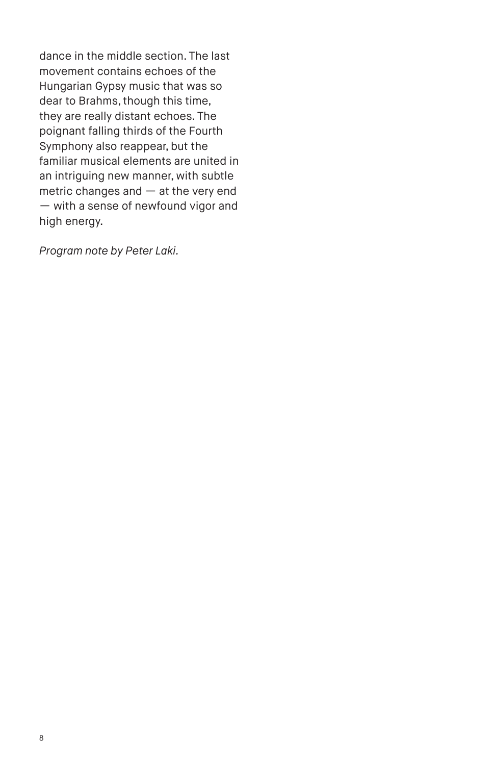dance in the middle section. The last movement contains echoes of the Hungarian Gypsy music that was so dear to Brahms, though this time, they are really distant echoes. The poignant falling thirds of the Fourth Symphony also reappear, but the familiar musical elements are united in an intriguing new manner, with subtle metric changes and — at the very end — with a sense of newfound vigor and high energy.

*Program note by Peter Laki.*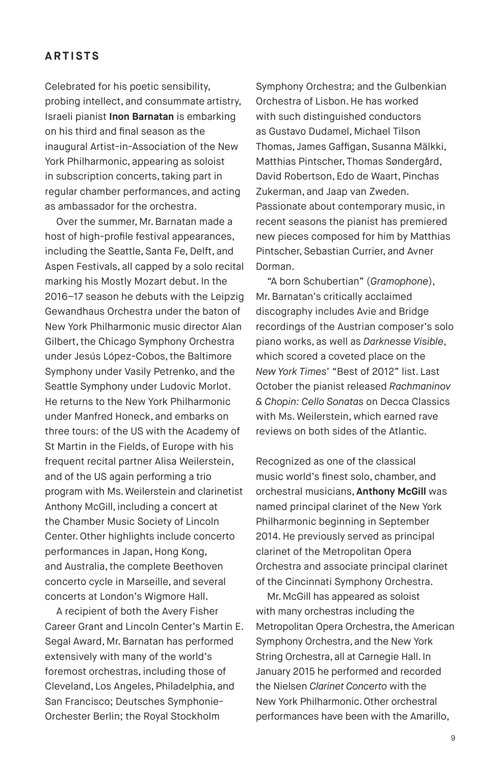# **ARTISTS**

Celebrated for his poetic sensibility, probing intellect, and consummate artistry, Israeli pianist **Inon Barnatan** is embarking on his third and final season as the inaugural Artist-in-Association of the New York Philharmonic, appearing as soloist in subscription concerts, taking part in regular chamber performances, and acting as ambassador for the orchestra.

Over the summer, Mr. Barnatan made a host of high-profile festival appearances, including the Seattle, Santa Fe, Delft, and Aspen Festivals, all capped by a solo recital marking his Mostly Mozart debut. In the 2016–17 season he debuts with the Leipzig Gewandhaus Orchestra under the baton of New York Philharmonic music director Alan Gilbert, the Chicago Symphony Orchestra under Jesús López-Cobos, the Baltimore Symphony under Vasily Petrenko, and the Seattle Symphony under Ludovic Morlot. He returns to the New York Philharmonic under Manfred Honeck, and embarks on three tours: of the US with the Academy of St Martin in the Fields, of Europe with his frequent recital partner Alisa Weilerstein, and of the US again performing a trio program with Ms. Weilerstein and clarinetist Anthony McGill, including a concert at the Chamber Music Society of Lincoln Center. Other highlights include concerto performances in Japan, Hong Kong, and Australia, the complete Beethoven concerto cycle in Marseille, and several concerts at London's Wigmore Hall.

A recipient of both the Avery Fisher Career Grant and Lincoln Center's Martin E. Segal Award, Mr. Barnatan has performed extensively with many of the world's foremost orchestras, including those of Cleveland, Los Angeles, Philadelphia, and San Francisco; Deutsches Symphonie-Orchester Berlin; the Royal Stockholm

Symphony Orchestra; and the Gulbenkian Orchestra of Lisbon. He has worked with such distinguished conductors as Gustavo Dudamel, Michael Tilson Thomas, James Gaffigan, Susanna Mälkki, Matthias Pintscher, Thomas Søndergård, David Robertson, Edo de Waart, Pinchas Zukerman, and Jaap van Zweden. Passionate about contemporary music, in recent seasons the pianist has premiered new pieces composed for him by Matthias Pintscher, Sebastian Currier, and Avner Dorman.

"A born Schubertian" (*Gramophone*), Mr. Barnatan's critically acclaimed discography includes Avie and Bridge recordings of the Austrian composer's solo piano works, as well as *Darknesse Visible*, which scored a coveted place on the *New York Times*' "Best of 2012" list. Last October the pianist released *Rachmaninov & Chopin: Cello Sonatas* on Decca Classics with Ms. Weilerstein, which earned rave reviews on both sides of the Atlantic.

Recognized as one of the classical music world's finest solo, chamber, and orchestral musicians, **Anthony McGill** was named principal clarinet of the New York Philharmonic beginning in September 2014. He previously served as principal clarinet of the Metropolitan Opera Orchestra and associate principal clarinet of the Cincinnati Symphony Orchestra.

Mr. McGill has appeared as soloist with many orchestras including the Metropolitan Opera Orchestra, the American Symphony Orchestra, and the New York String Orchestra, all at Carnegie Hall. In January 2015 he performed and recorded the Nielsen *Clarinet Concerto* with the New York Philharmonic. Other orchestral performances have been with the Amarillo,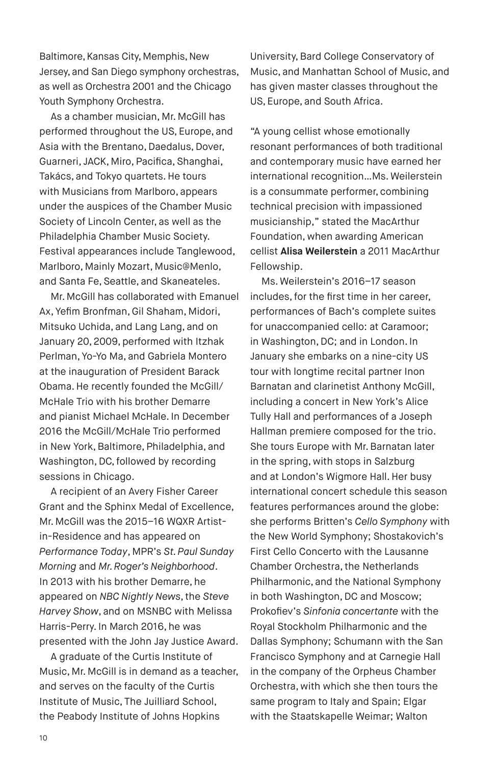Baltimore, Kansas City, Memphis, New Jersey, and San Diego symphony orchestras, as well as Orchestra 2001 and the Chicago Youth Symphony Orchestra.

As a chamber musician, Mr. McGill has performed throughout the US, Europe, and Asia with the Brentano, Daedalus, Dover, Guarneri, JACK, Miro, Pacifica, Shanghai, Takács, and Tokyo quartets. He tours with Musicians from Marlboro, appears under the auspices of the Chamber Music Society of Lincoln Center, as well as the Philadelphia Chamber Music Society. Festival appearances include Tanglewood, Marlboro, Mainly Mozart, Music@Menlo, and Santa Fe, Seattle, and Skaneateles.

Mr. McGill has collaborated with Emanuel Ax, Yefim Bronfman, Gil Shaham, Midori, Mitsuko Uchida, and Lang Lang, and on January 20, 2009, performed with Itzhak Perlman, Yo-Yo Ma, and Gabriela Montero at the inauguration of President Barack Obama. He recently founded the McGill/ McHale Trio with his brother Demarre and pianist Michael McHale. In December 2016 the McGill/McHale Trio performed in New York, Baltimore, Philadelphia, and Washington, DC, followed by recording sessions in Chicago.

A recipient of an Avery Fisher Career Grant and the Sphinx Medal of Excellence, Mr. McGill was the 2015–16 WQXR Artistin-Residence and has appeared on *Performance Today*, MPR's *St. Paul Sunday Morning* and *Mr. Roger's Neighborhood*. In 2013 with his brother Demarre, he appeared on *NBC Nightly News*, the *Steve Harvey Show*, and on MSNBC with Melissa Harris-Perry. In March 2016, he was presented with the John Jay Justice Award.

A graduate of the Curtis Institute of Music, Mr. McGill is in demand as a teacher, and serves on the faculty of the Curtis Institute of Music, The Juilliard School, the Peabody Institute of Johns Hopkins

University, Bard College Conservatory of Music, and Manhattan School of Music, and has given master classes throughout the US, Europe, and South Africa.

"A young cellist whose emotionally resonant performances of both traditional and contemporary music have earned her international recognition…Ms. Weilerstein is a consummate performer, combining technical precision with impassioned musicianship," stated the MacArthur Foundation, when awarding American cellist **Alisa Weilerstein** a 2011 MacArthur Fellowship.

Ms. Weilerstein's 2016–17 season includes, for the first time in her career, performances of Bach's complete suites for unaccompanied cello: at Caramoor; in Washington, DC; and in London. In January she embarks on a nine-city US tour with longtime recital partner Inon Barnatan and clarinetist Anthony McGill, including a concert in New York's Alice Tully Hall and performances of a Joseph Hallman premiere composed for the trio. She tours Europe with Mr. Barnatan later in the spring, with stops in Salzburg and at London's Wigmore Hall. Her busy international concert schedule this season features performances around the globe: she performs Britten's *Cello Symphony* with the New World Symphony; Shostakovich's First Cello Concerto with the Lausanne Chamber Orchestra, the Netherlands Philharmonic, and the National Symphony in both Washington, DC and Moscow; Prokofiev's *Sinfonia concertante* with the Royal Stockholm Philharmonic and the Dallas Symphony; Schumann with the San Francisco Symphony and at Carnegie Hall in the company of the Orpheus Chamber Orchestra, with which she then tours the same program to Italy and Spain; Elgar with the Staatskapelle Weimar; Walton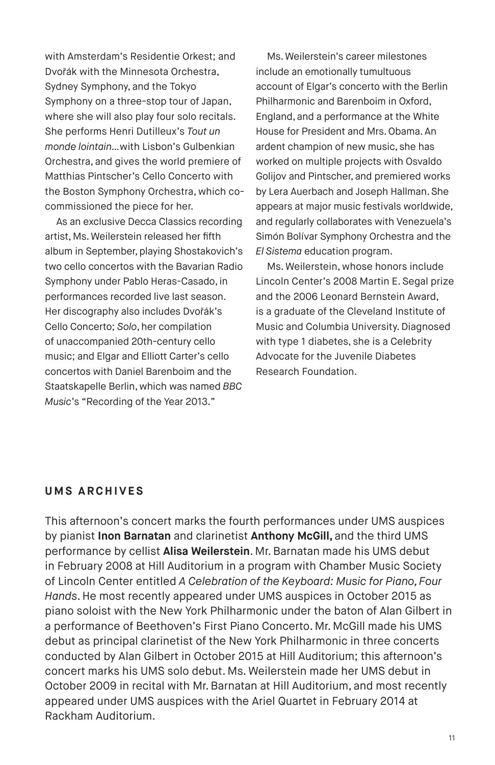with Amsterdam's Residentie Orkest; and Dvořák with the Minnesota Orchestra, Sydney Symphony, and the Tokyo Symphony on a three-stop tour of Japan, where she will also play four solo recitals. She performs Henri Dutilleux's *Tout un monde lointain…*with Lisbon's Gulbenkian Orchestra, and gives the world premiere of Matthias Pintscher's Cello Concerto with the Boston Symphony Orchestra, which cocommissioned the piece for her.

As an exclusive Decca Classics recording artist, Ms. Weilerstein released her fifth album in September, playing Shostakovich's two cello concertos with the Bavarian Radio Symphony under Pablo Heras-Casado, in performances recorded live last season. Her discography also includes Dvořák's Cello Concerto; *Solo*, her compilation of unaccompanied 20th-century cello music; and Elgar and Elliott Carter's cello concertos with Daniel Barenboim and the Staatskapelle Berlin, which was named *BBC Music*'s "Recording of the Year 2013."

Ms. Weilerstein's career milestones include an emotionally tumultuous account of Elgar's concerto with the Berlin Philharmonic and Barenboim in Oxford, England, and a performance at the White House for President and Mrs. Obama. An ardent champion of new music, she has worked on multiple projects with Osvaldo Golijov and Pintscher, and premiered works by Lera Auerbach and Joseph Hallman. She appears at major music festivals worldwide, and regularly collaborates with Venezuela's Simón Bolívar Symphony Orchestra and the *El Sistema* education program.

Ms. Weilerstein, whose honors include Lincoln Center's 2008 Martin E. Segal prize and the 2006 Leonard Bernstein Award, is a graduate of the Cleveland Institute of Music and Columbia University. Diagnosed with type 1 diabetes, she is a Celebrity Advocate for the Juvenile Diabetes Research Foundation.

#### **UMS ARCHIVES**

This afternoon's concert marks the fourth performances under UMS auspices by pianist **Inon Barnatan** and clarinetist **Anthony McGill,** and the third UMS performance by cellist **Alisa Weilerstein**. Mr. Barnatan made his UMS debut in February 2008 at Hill Auditorium in a program with Chamber Music Society of Lincoln Center entitled *A Celebration of the Keyboard: Music for Piano, Four Hands*. He most recently appeared under UMS auspices in October 2015 as piano soloist with the New York Philharmonic under the baton of Alan Gilbert in a performance of Beethoven's First Piano Concerto. Mr. McGill made his UMS debut as principal clarinetist of the New York Philharmonic in three concerts conducted by Alan Gilbert in October 2015 at Hill Auditorium; this afternoon's concert marks his UMS solo debut. Ms. Weilerstein made her UMS debut in October 2009 in recital with Mr. Barnatan at Hill Auditorium, and most recently appeared under UMS auspices with the Ariel Quartet in February 2014 at Rackham Auditorium.